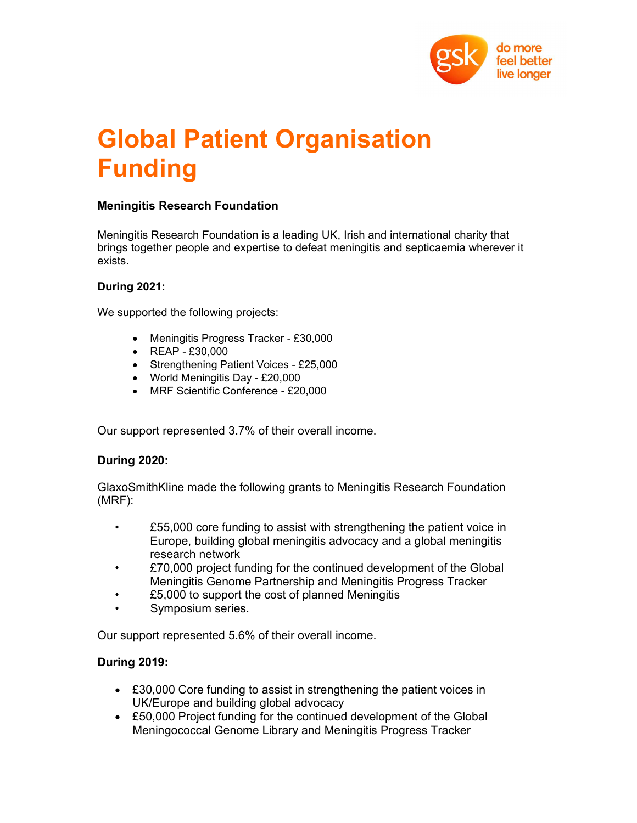

# Global Patient Organisation Funding

## Meningitis Research Foundation

Meningitis Research Foundation is a leading UK, Irish and international charity that brings together people and expertise to defeat meningitis and septicaemia wherever it exists.

#### During 2021:

We supported the following projects:

- Meningitis Progress Tracker £30,000
- REAP £30,000
- Strengthening Patient Voices £25,000
- World Meningitis Day £20,000
- MRF Scientific Conference £20,000

Our support represented 3.7% of their overall income.

## During 2020:

GlaxoSmithKline made the following grants to Meningitis Research Foundation (MRF):

- £55,000 core funding to assist with strengthening the patient voice in Europe, building global meningitis advocacy and a global meningitis research network
- £70,000 project funding for the continued development of the Global Meningitis Genome Partnership and Meningitis Progress Tracker
- £5,000 to support the cost of planned Meningitis
- Symposium series.

Our support represented 5.6% of their overall income.

## During 2019:

- £30,000 Core funding to assist in strengthening the patient voices in UK/Europe and building global advocacy
- £50,000 Project funding for the continued development of the Global Meningococcal Genome Library and Meningitis Progress Tracker